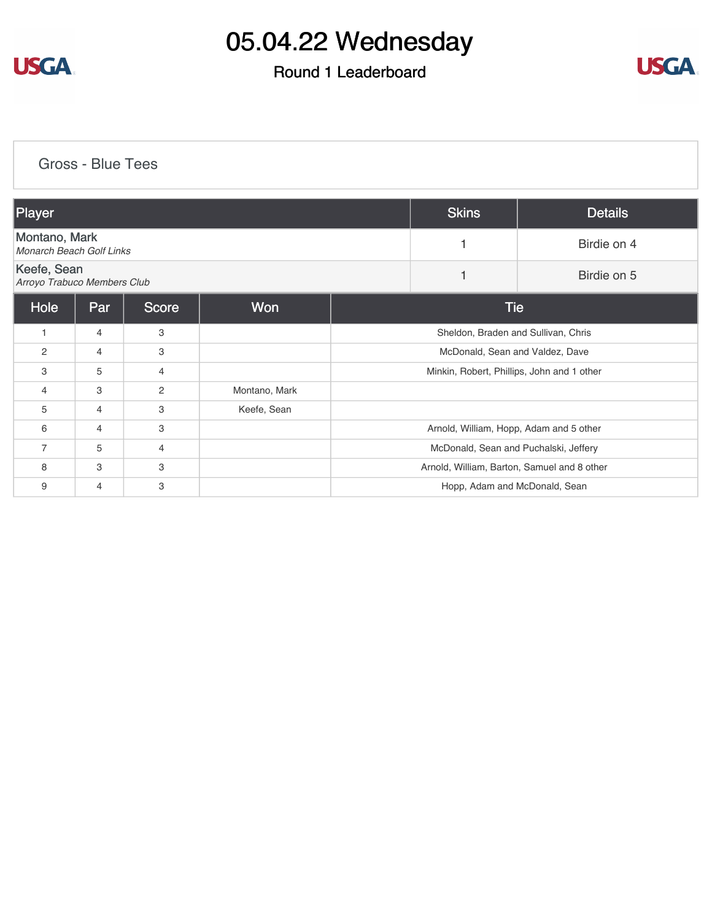

#### Round 1 Leaderboard



[Gross - Blue Tees](https://static.golfgenius.com/v2tournaments/8445042103561511067?called_from=&round_index=1)

| Player                                           |                |              |               | <b>Skins</b>                                | <b>Details</b> |  |  |
|--------------------------------------------------|----------------|--------------|---------------|---------------------------------------------|----------------|--|--|
| Montano, Mark<br><b>Monarch Beach Golf Links</b> |                |              |               |                                             | Birdie on 4    |  |  |
| Keefe, Sean<br>Arroyo Trabuco Members Club       |                |              |               |                                             | Birdie on 5    |  |  |
| Hole                                             | Par            | <b>Score</b> | Won           | Tie                                         |                |  |  |
| 1                                                | $\overline{4}$ | 3            |               | Sheldon, Braden and Sullivan, Chris         |                |  |  |
| $\overline{2}$                                   | $\overline{4}$ | 3            |               | McDonald, Sean and Valdez, Dave             |                |  |  |
| 3                                                | 5              | 4            |               | Minkin, Robert, Phillips, John and 1 other  |                |  |  |
| $\overline{4}$                                   | 3              | 2            | Montano, Mark |                                             |                |  |  |
| 5                                                | $\overline{4}$ | 3            | Keefe, Sean   |                                             |                |  |  |
| 6                                                | $\overline{4}$ | 3            |               | Arnold, William, Hopp, Adam and 5 other     |                |  |  |
| $\overline{7}$                                   | 5              | 4            |               | McDonald, Sean and Puchalski, Jeffery       |                |  |  |
| 8                                                | 3              | 3            |               | Arnold, William, Barton, Samuel and 8 other |                |  |  |
| 9                                                | $\overline{4}$ | 3            |               | Hopp, Adam and McDonald, Sean               |                |  |  |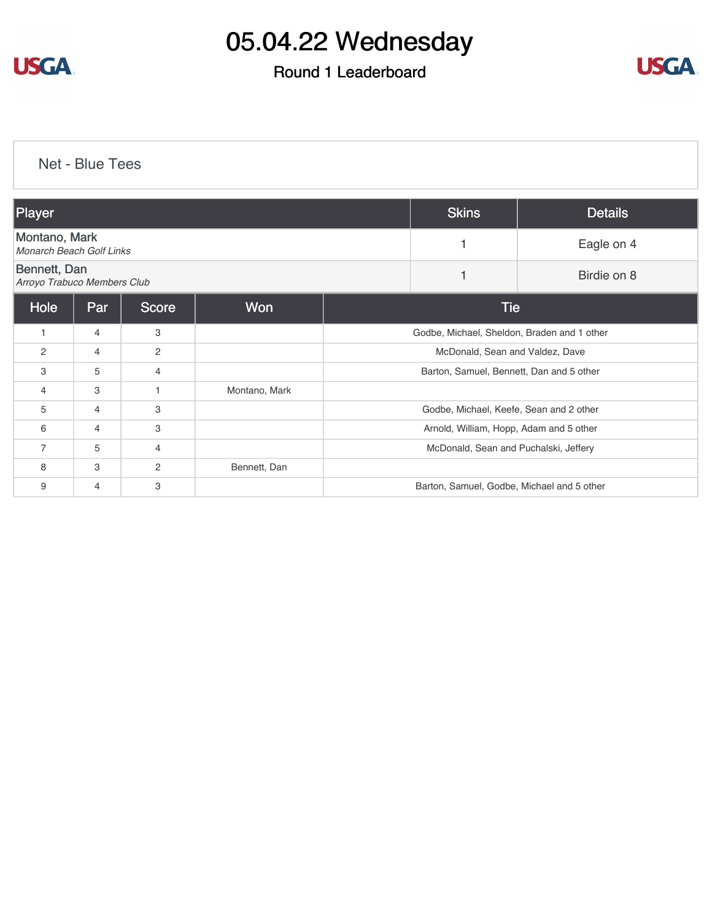

#### Round 1 Leaderboard



[Net - Blue Tees](https://static.golfgenius.com/v2tournaments/8445043622537093277?called_from=&round_index=1)

| Player                                      |                |                |               | <b>Skins</b>                                | <b>Details</b> |             |  |
|---------------------------------------------|----------------|----------------|---------------|---------------------------------------------|----------------|-------------|--|
| Montano, Mark<br>Monarch Beach Golf Links   |                |                |               | 1                                           | Eagle on 4     |             |  |
| Bennett, Dan<br>Arroyo Trabuco Members Club |                |                |               |                                             | 1              | Birdie on 8 |  |
| Hole                                        | Par            | Score          | <b>Won</b>    |                                             | <b>Tie</b>     |             |  |
| $\mathbf{1}$                                | $\overline{4}$ | 3              |               | Godbe, Michael, Sheldon, Braden and 1 other |                |             |  |
| 2                                           | $\overline{4}$ | 2              |               | McDonald, Sean and Valdez, Dave             |                |             |  |
| 3                                           | 5              | 4              |               | Barton, Samuel, Bennett, Dan and 5 other    |                |             |  |
| 4                                           | 3              |                | Montano, Mark |                                             |                |             |  |
| 5                                           | $\overline{4}$ | 3              |               | Godbe, Michael, Keefe, Sean and 2 other     |                |             |  |
| 6                                           | 4              | 3              |               | Arnold, William, Hopp, Adam and 5 other     |                |             |  |
| $\overline{7}$                              | 5              | $\overline{4}$ |               | McDonald, Sean and Puchalski, Jeffery       |                |             |  |
| 8                                           | 3              | 2              | Bennett, Dan  |                                             |                |             |  |
| 9                                           | 4              | 3              |               | Barton, Samuel, Godbe, Michael and 5 other  |                |             |  |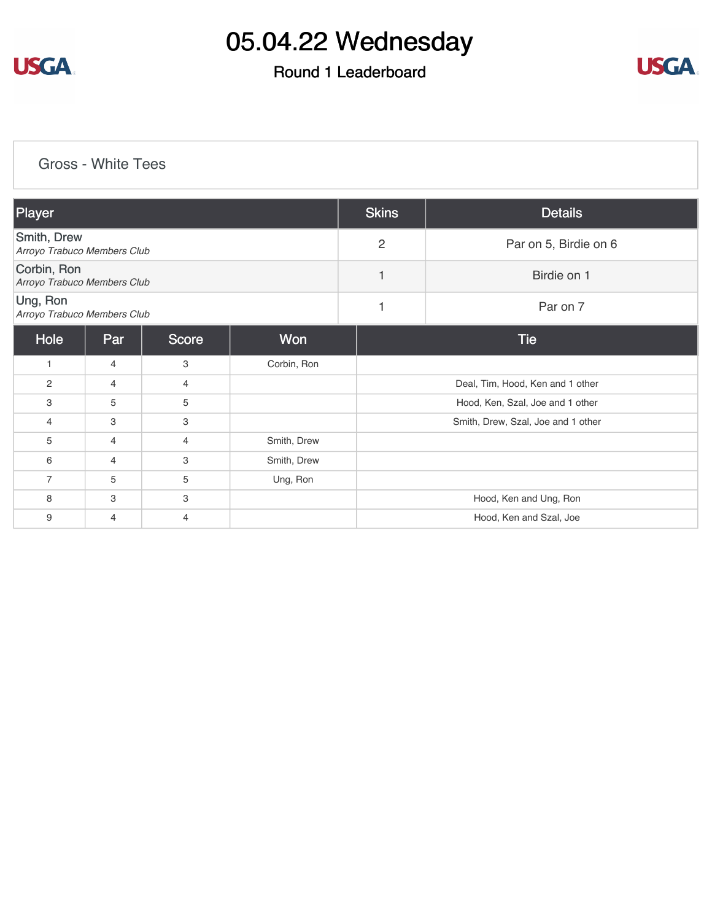

### Round 1 Leaderboard



#### [Gross - White Tees](https://static.golfgenius.com/v2tournaments/8445075686548332703?called_from=&round_index=1)

| Player                                     |                |              |             | <b>Skins</b>   | <b>Details</b>                     |  |
|--------------------------------------------|----------------|--------------|-------------|----------------|------------------------------------|--|
| Smith, Drew<br>Arroyo Trabuco Members Club |                |              |             | $\overline{2}$ | Par on 5, Birdie on 6              |  |
| Corbin, Ron<br>Arroyo Trabuco Members Club |                |              |             | 1              | Birdie on 1                        |  |
| Ung, Ron<br>Arroyo Trabuco Members Club    |                |              |             | 1              | Par on 7                           |  |
| Hole                                       | Par            | <b>Score</b> | Won         |                | <b>Tie</b>                         |  |
| $\mathbf{1}$                               | 4              | 3            | Corbin, Ron |                |                                    |  |
| 2                                          | $\overline{4}$ | 4            |             |                | Deal, Tim, Hood, Ken and 1 other   |  |
| 3                                          | 5              | 5            |             |                | Hood, Ken, Szal, Joe and 1 other   |  |
| 4                                          | 3              | 3            |             |                | Smith, Drew, Szal, Joe and 1 other |  |
| 5                                          | $\overline{4}$ | 4            | Smith, Drew |                |                                    |  |
| 6                                          | $\overline{4}$ | 3            | Smith, Drew |                |                                    |  |
| $\overline{7}$                             | 5              | 5            | Ung, Ron    |                |                                    |  |
| 8                                          | 3              | 3            |             |                | Hood, Ken and Ung, Ron             |  |
| 9                                          | 4              | 4            |             |                | Hood, Ken and Szal, Joe            |  |